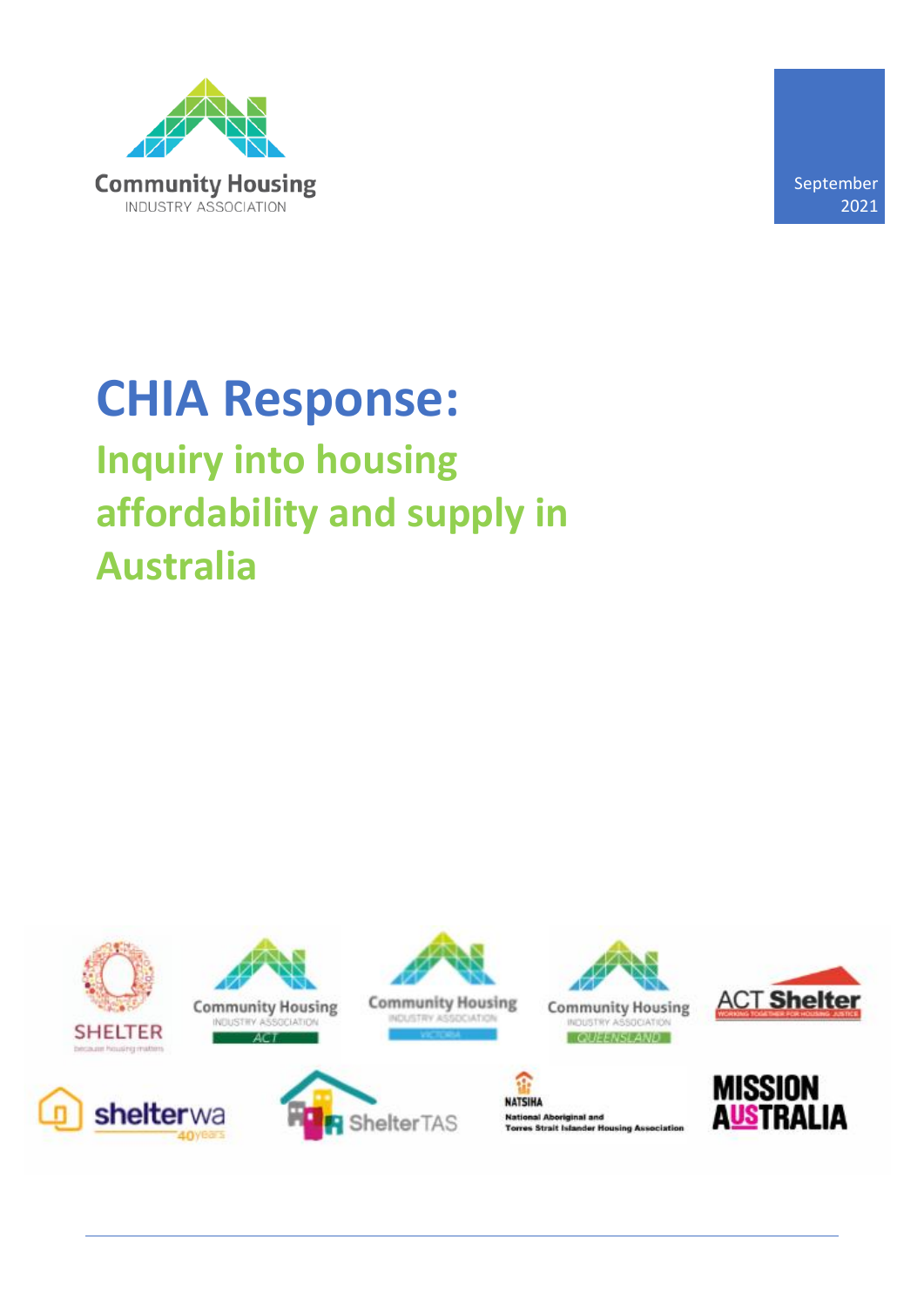

September 2021

# **CHIA Response: Inquiry into housing affordability and supply in Australia**

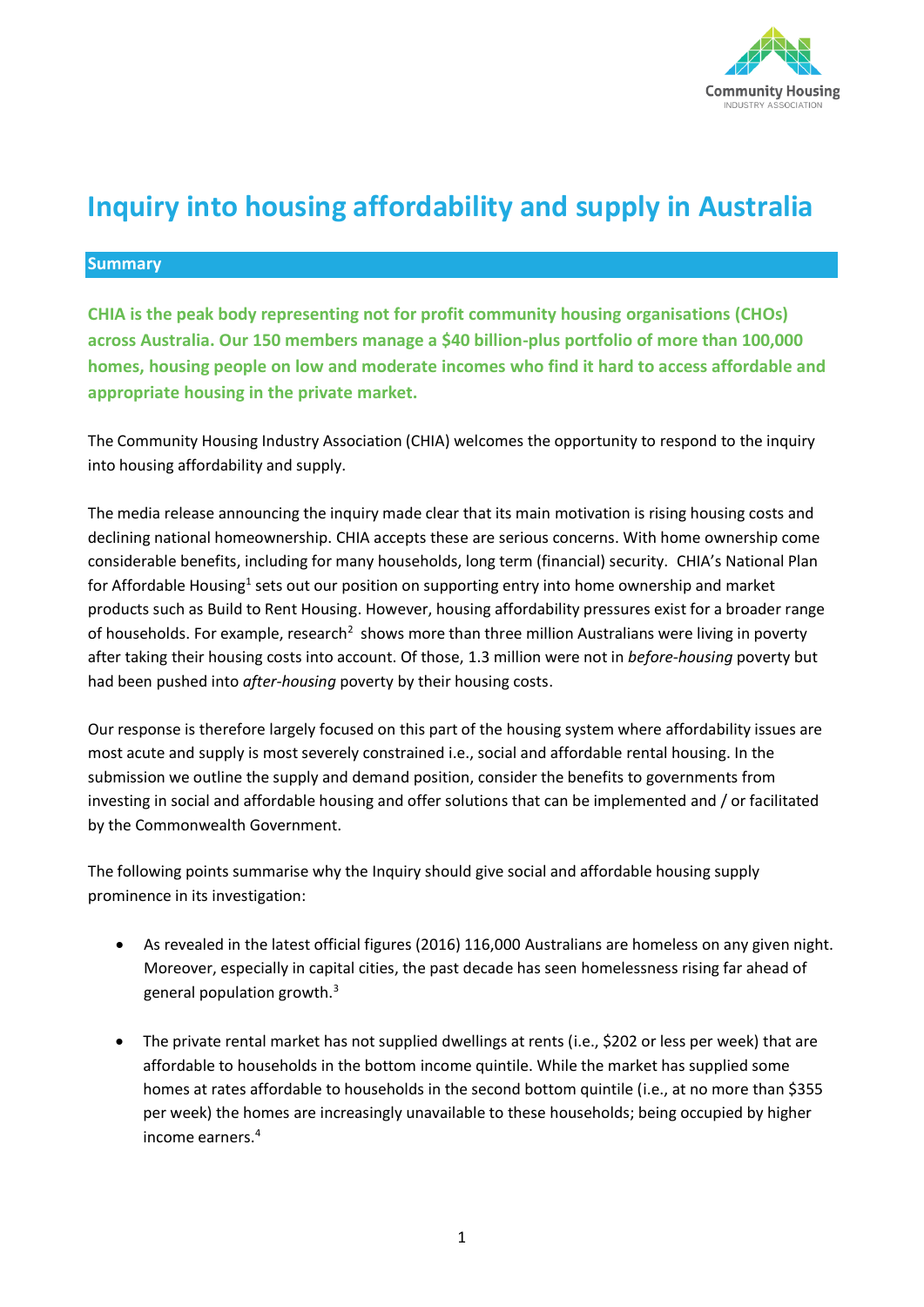

# **Inquiry into housing affordability and supply in Australia**

#### **Summary**

**CHIA is the peak body representing not for profit community housing organisations (CHOs) across Australia. Our 150 members manage a \$40 billion-plus portfolio of more than 100,000 homes, housing people on low and moderate incomes who find it hard to access affordable and appropriate housing in the private market.** 

The Community Housing Industry Association (CHIA) welcomes the opportunity to respond to the inquiry into housing affordability and supply.

The media release announcing the inquiry made clear that its main motivation is rising housing costs and declining national homeownership. CHIA accepts these are serious concerns. With home ownership come considerable benefits, including for many households, long term (financial) security. CHIA's National Plan for Affordable Housing<sup>1</sup> sets out our position on supporting entry into home ownership and market products such as Build to Rent Housing. However, housing affordability pressures exist for a broader range of households. For example, research<sup>2</sup> shows more than three million Australians were living in poverty after taking their housing costs into account. Of those, 1.3 million were not in *before-housing* poverty but had been pushed into *after-housing* poverty by their housing costs.

Our response is therefore largely focused on this part of the housing system where affordability issues are most acute and supply is most severely constrained i.e., social and affordable rental housing. In the submission we outline the supply and demand position, consider the benefits to governments from investing in social and affordable housing and offer solutions that can be implemented and / or facilitated by the Commonwealth Government.

The following points summarise why the Inquiry should give social and affordable housing supply prominence in its investigation:

- As revealed in the latest official figures (2016) 116,000 Australians are homeless on any given night. Moreover, especially in capital cities, the past decade has seen homelessness rising far ahead of general population growth.<sup>3</sup>
- The private rental market has not supplied dwellings at rents (i.e., \$202 or less per week) that are affordable to households in the bottom income quintile. While the market has supplied some homes at rates affordable to households in the second bottom quintile (i.e., at no more than \$355 per week) the homes are increasingly unavailable to these households; being occupied by higher income earners.4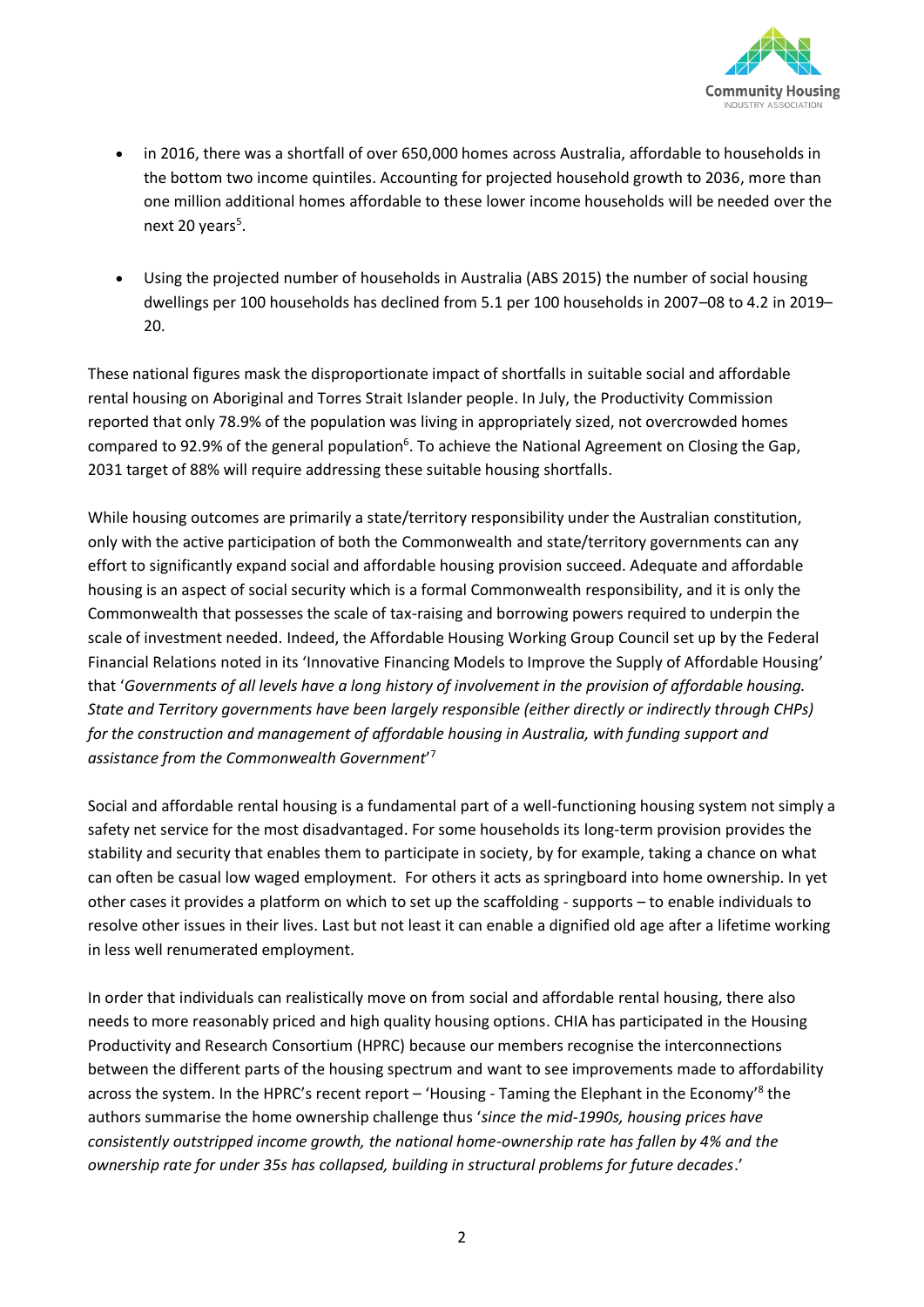

- in 2016, there was a shortfall of over 650,000 homes across Australia, affordable to households in the bottom two income quintiles. Accounting for projected household growth to 2036, more than one million additional homes affordable to these lower income households will be needed over the next 20 years<sup>5</sup>.
- Using the projected number of households in Australia (ABS 2015) the number of social housing dwellings per 100 households has declined from 5.1 per 100 households in 2007–08 to 4.2 in 2019– 20.

These national figures mask the disproportionate impact of shortfalls in suitable social and affordable rental housing on Aboriginal and Torres Strait Islander people. In July, the Productivity Commission reported that only 78.9% of the population was living in appropriately sized, not overcrowded homes compared to 92.9% of the general population<sup>6</sup>. To achieve the National Agreement on Closing the Gap, 2031 target of 88% will require addressing these suitable housing shortfalls.

While housing outcomes are primarily a state/territory responsibility under the Australian constitution, only with the active participation of both the Commonwealth and state/territory governments can any effort to significantly expand social and affordable housing provision succeed. Adequate and affordable housing is an aspect of social security which is a formal Commonwealth responsibility, and it is only the Commonwealth that possesses the scale of tax-raising and borrowing powers required to underpin the scale of investment needed. Indeed, the Affordable Housing Working Group Council set up by the Federal Financial Relations noted in its 'Innovative Financing Models to Improve the Supply of Affordable Housing' that '*Governments of all levels have a long history of involvement in the provision of affordable housing. State and Territory governments have been largely responsible (either directly or indirectly through CHPs) for the construction and management of affordable housing in Australia, with funding support and assistance from the Commonwealth Government*' 7

Social and affordable rental housing is a fundamental part of a well-functioning housing system not simply a safety net service for the most disadvantaged. For some households its long-term provision provides the stability and security that enables them to participate in society, by for example, taking a chance on what can often be casual low waged employment. For others it acts as springboard into home ownership. In yet other cases it provides a platform on which to set up the scaffolding - supports – to enable individuals to resolve other issues in their lives. Last but not least it can enable a dignified old age after a lifetime working in less well renumerated employment.

In order that individuals can realistically move on from social and affordable rental housing, there also needs to more reasonably priced and high quality housing options. CHIA has participated in the Housing Productivity and Research Consortium (HPRC) because our members recognise the interconnections between the different parts of the housing spectrum and want to see improvements made to affordability across the system. In the HPRC's recent report – 'Housing - Taming the Elephant in the Economy'<sup>8</sup> the authors summarise the home ownership challenge thus '*since the mid-1990s, housing prices have consistently outstripped income growth, the national home-ownership rate has fallen by 4% and the ownership rate for under 35s has collapsed, building in structural problems for future decades*.'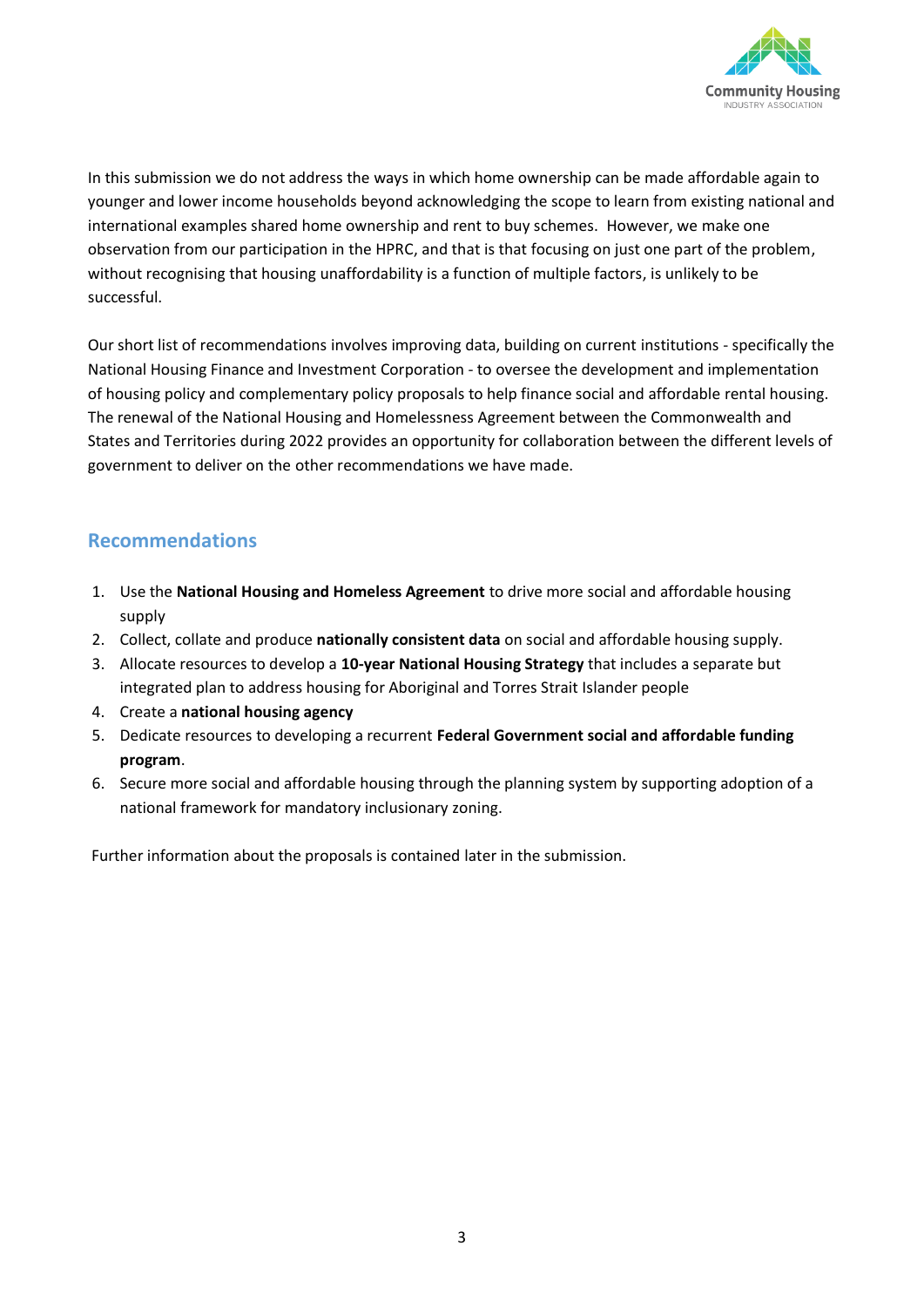

In this submission we do not address the ways in which home ownership can be made affordable again to younger and lower income households beyond acknowledging the scope to learn from existing national and international examples shared home ownership and rent to buy schemes. However, we make one observation from our participation in the HPRC, and that is that focusing on just one part of the problem, without recognising that housing unaffordability is a function of multiple factors, is unlikely to be successful.

Our short list of recommendations involves improving data, building on current institutions - specifically the National Housing Finance and Investment Corporation - to oversee the development and implementation of housing policy and complementary policy proposals to help finance social and affordable rental housing. The renewal of the National Housing and Homelessness Agreement between the Commonwealth and States and Territories during 2022 provides an opportunity for collaboration between the different levels of government to deliver on the other recommendations we have made.

### **Recommendations**

- 1. Use the **National Housing and Homeless Agreement** to drive more social and affordable housing supply
- 2. Collect, collate and produce **nationally consistent data** on social and affordable housing supply.
- 3. Allocate resources to develop a **10-year National Housing Strategy** that includes a separate but integrated plan to address housing for Aboriginal and Torres Strait Islander people
- 4. Create a **national housing agency**
- 5. Dedicate resources to developing a recurrent **Federal Government social and affordable funding program**.
- 6. Secure more social and affordable housing through the planning system by supporting adoption of a national framework for mandatory inclusionary zoning.

Further information about the proposals is contained later in the submission.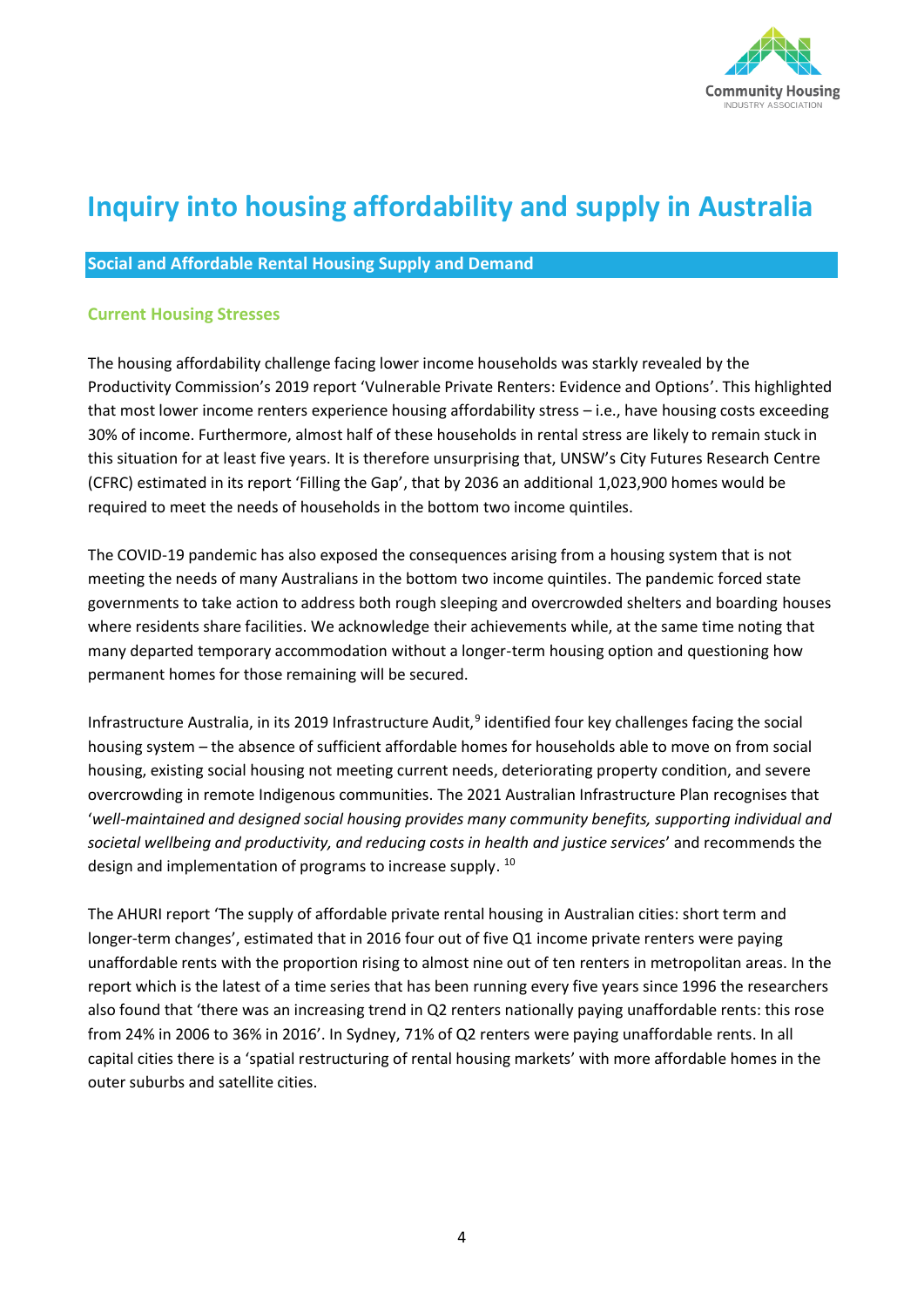

# **Inquiry into housing affordability and supply in Australia**

#### **Social and Affordable Rental Housing Supply and Demand**

#### **Current Housing Stresses**

The housing affordability challenge facing lower income households was starkly revealed by the Productivity Commission's 2019 report 'Vulnerable Private Renters: Evidence and Options'. This highlighted that most lower income renters experience housing affordability stress – i.e., have housing costs exceeding 30% of income. Furthermore, almost half of these households in rental stress are likely to remain stuck in this situation for at least five years. It is therefore unsurprising that, UNSW's City Futures Research Centre (CFRC) estimated in its report 'Filling the Gap', that by 2036 an additional 1,023,900 homes would be required to meet the needs of households in the bottom two income quintiles.

The COVID-19 pandemic has also exposed the consequences arising from a housing system that is not meeting the needs of many Australians in the bottom two income quintiles. The pandemic forced state governments to take action to address both rough sleeping and overcrowded shelters and boarding houses where residents share facilities. We acknowledge their achievements while, at the same time noting that many departed temporary accommodation without a longer-term housing option and questioning how permanent homes for those remaining will be secured.

Infrastructure Australia, in its 2019 Infrastructure Audit,<sup>9</sup> identified four key challenges facing the social housing system – the absence of sufficient affordable homes for households able to move on from social housing, existing social housing not meeting current needs, deteriorating property condition, and severe overcrowding in remote Indigenous communities. The 2021 Australian Infrastructure Plan recognises that '*well-maintained and designed social housing provides many community benefits, supporting individual and societal wellbeing and productivity, and reducing costs in health and justice services*' and recommends the design and implementation of programs to increase supply. <sup>10</sup>

The AHURI report 'The supply of affordable private rental housing in Australian cities: short term and longer-term changes', estimated that in 2016 four out of five Q1 income private renters were paying unaffordable rents with the proportion rising to almost nine out of ten renters in metropolitan areas. In the report which is the latest of a time series that has been running every five years since 1996 the researchers also found that 'there was an increasing trend in Q2 renters nationally paying unaffordable rents: this rose from 24% in 2006 to 36% in 2016'. In Sydney, 71% of Q2 renters were paying unaffordable rents. In all capital cities there is a 'spatial restructuring of rental housing markets' with more affordable homes in the outer suburbs and satellite cities.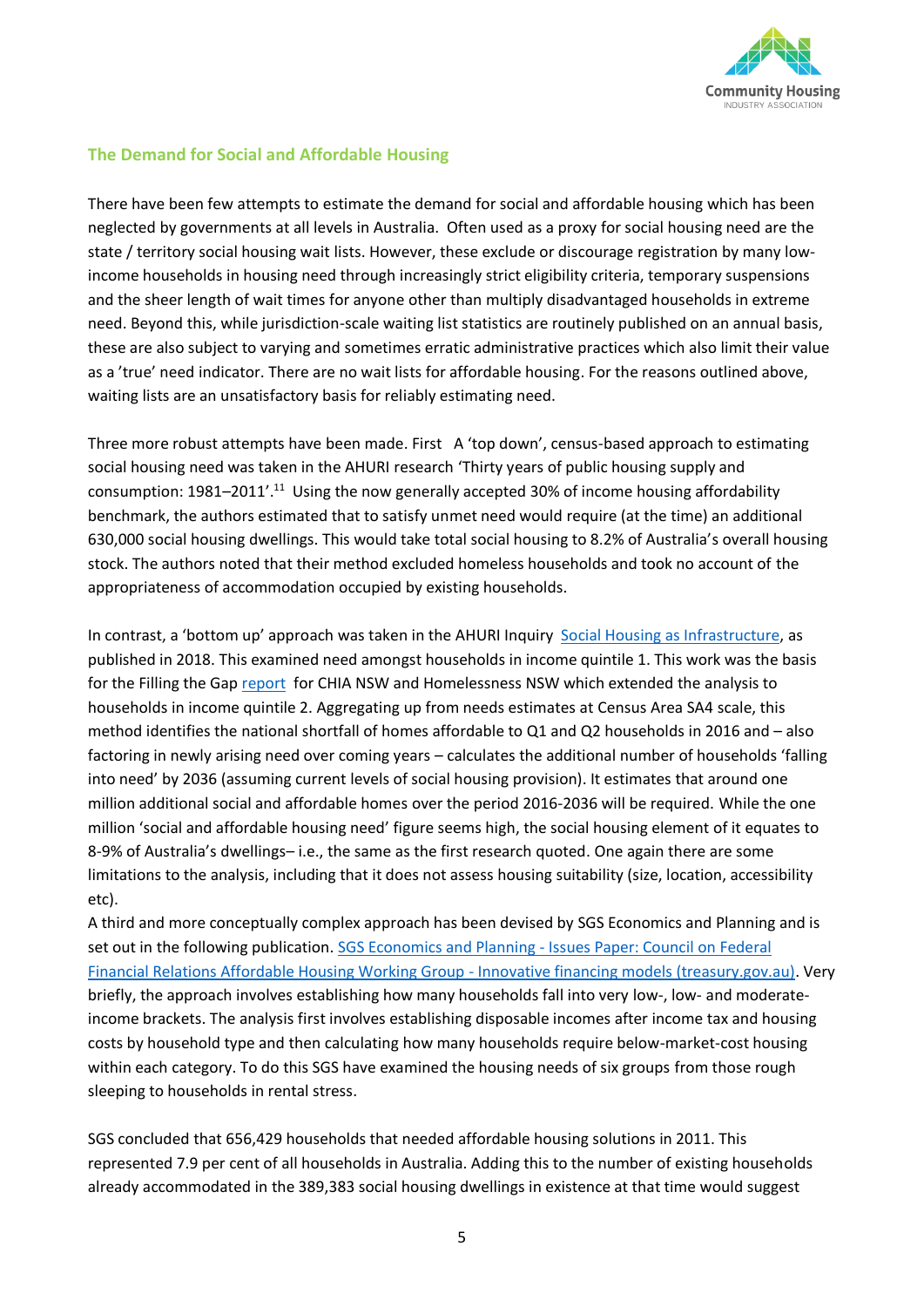

#### **The Demand for Social and Affordable Housing**

There have been few attempts to estimate the demand for social and affordable housing which has been neglected by governments at all levels in Australia. Often used as a proxy for social housing need are the state / territory social housing wait lists. However, these exclude or discourage registration by many lowincome households in housing need through increasingly strict eligibility criteria, temporary suspensions and the sheer length of wait times for anyone other than multiply disadvantaged households in extreme need. Beyond this, while jurisdiction-scale waiting list statistics are routinely published on an annual basis, these are also subject to varying and sometimes erratic administrative practices which also limit their value as a 'true' need indicator. There are no wait lists for affordable housing. For the reasons outlined above, waiting lists are an unsatisfactory basis for reliably estimating need.

Three more robust attempts have been made. First A 'top down', census-based approach to estimating social housing need was taken in the AHURI research 'Thirty years of public housing supply and consumption: 1981–2011'.<sup>11</sup> Using the now generally accepted 30% of income housing affordability benchmark, the authors estimated that to satisfy unmet need would require (at the time) an additional 630,000 social housing dwellings. This would take total social housing to 8.2% of Australia's overall housing stock. The authors noted that their method excluded homeless households and took no account of the appropriateness of accommodation occupied by existing households.

In contrast, a 'bottom up' approach was taken in the AHURI Inquiry [Social Housing as Infrastructure,](https://www.ahuri.edu.au/research/final-reports/306) as published in 2018. This examined need amongst households in income quintile 1. This work was the basis for the Filling the Gap [report](https://cityfutures.be.unsw.edu.au/research/projects/filling-the-gap/) for CHIA NSW and Homelessness NSW which extended the analysis to households in income quintile 2. Aggregating up from needs estimates at Census Area SA4 scale, this method identifies the national shortfall of homes affordable to Q1 and Q2 households in 2016 and – also factoring in newly arising need over coming years – calculates the additional number of households 'falling into need' by 2036 (assuming current levels of social housing provision). It estimates that around one million additional social and affordable homes over the period 2016-2036 will be required. While the one million 'social and affordable housing need' figure seems high, the social housing element of it equates to 8-9% of Australia's dwellings– i.e., the same as the first research quoted. One again there are some limitations to the analysis, including that it does not assess housing suitability (size, location, accessibility etc).

A third and more conceptually complex approach has been devised by SGS Economics and Planning and is set out in the following publication. SGS Economics and Planning - [Issues Paper: Council on Federal](https://cdn.treasury.gov.au/uploads/sites/1/2017/06/C2016-050_SGS_Economics_and_Planning.pdf)  [Financial Relations Affordable Housing Working Group -](https://cdn.treasury.gov.au/uploads/sites/1/2017/06/C2016-050_SGS_Economics_and_Planning.pdf) Innovative financing models (treasury.gov.au). Very briefly, the approach involves establishing how many households fall into very low-, low- and moderateincome brackets. The analysis first involves establishing disposable incomes after income tax and housing costs by household type and then calculating how many households require below-market-cost housing within each category. To do this SGS have examined the housing needs of six groups from those rough sleeping to households in rental stress.

SGS concluded that 656,429 households that needed affordable housing solutions in 2011. This represented 7.9 per cent of all households in Australia. Adding this to the number of existing households already accommodated in the 389,383 social housing dwellings in existence at that time would suggest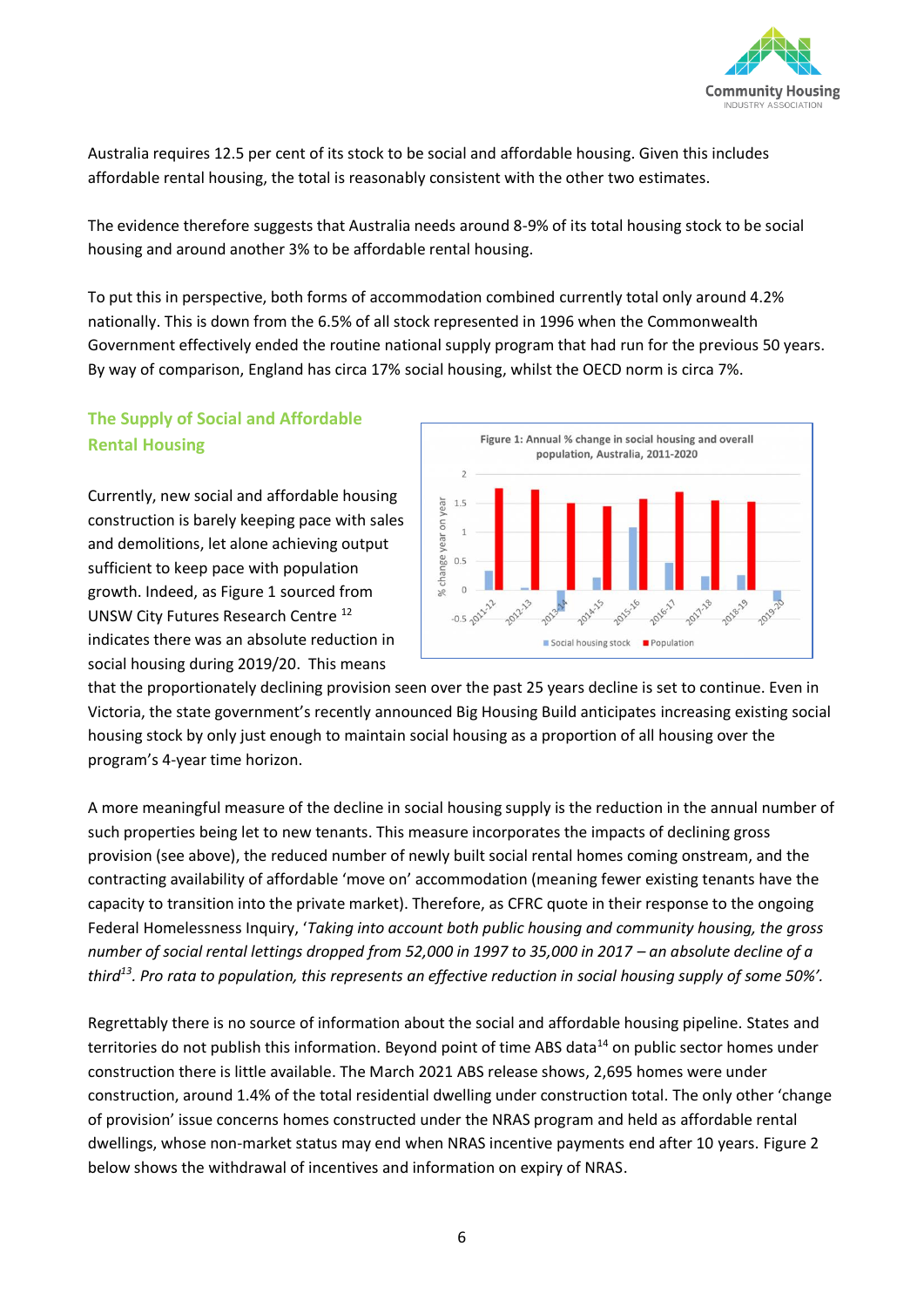

Australia requires 12.5 per cent of its stock to be social and affordable housing. Given this includes affordable rental housing, the total is reasonably consistent with the other two estimates.

The evidence therefore suggests that Australia needs around 8-9% of its total housing stock to be social housing and around another 3% to be affordable rental housing.

To put this in perspective, both forms of accommodation combined currently total only around 4.2% nationally. This is down from the 6.5% of all stock represented in 1996 when the Commonwealth Government effectively ended the routine national supply program that had run for the previous 50 years. By way of comparison, England has circa 17% social housing, whilst the OECD norm is circa 7%.

### **The Supply of Social and Affordable Rental Housing**

Currently, new social and affordable housing construction is barely keeping pace with sales and demolitions, let alone achieving output sufficient to keep pace with population growth. Indeed, as Figure 1 sourced from UNSW City Futures Research Centre <sup>12</sup> indicates there was an absolute reduction in social housing during 2019/20. This means



that the proportionately declining provision seen over the past 25 years decline is set to continue. Even in Victoria, the state government's recently announced Big Housing Build anticipates increasing existing social housing stock by only just enough to maintain social housing as a proportion of all housing over the program's 4-year time horizon.

A more meaningful measure of the decline in social housing supply is the reduction in the annual number of such properties being let to new tenants. This measure incorporates the impacts of declining gross provision (see above), the reduced number of newly built social rental homes coming onstream, and the contracting availability of affordable 'move on' accommodation (meaning fewer existing tenants have the capacity to transition into the private market). Therefore, as CFRC quote in their response to the ongoing Federal Homelessness Inquiry, '*Taking into account both public housing and community housing, the gross number of social rental lettings dropped from 52,000 in 1997 to 35,000 in 2017 – an absolute decline of a third<sup>13</sup>. Pro rata to population, this represents an effective reduction in social housing supply of some 50%'.*

Regrettably there is no source of information about the social and affordable housing pipeline. States and territories do not publish this information. Beyond point of time ABS data<sup>14</sup> on public sector homes under construction there is little available. The March 2021 ABS release shows, 2,695 homes were under construction, around 1.4% of the total residential dwelling under construction total. The only other 'change of provision' issue concerns homes constructed under the NRAS program and held as affordable rental dwellings, whose non-market status may end when NRAS incentive payments end after 10 years. Figure 2 below shows the withdrawal of incentives and information on expiry of NRAS.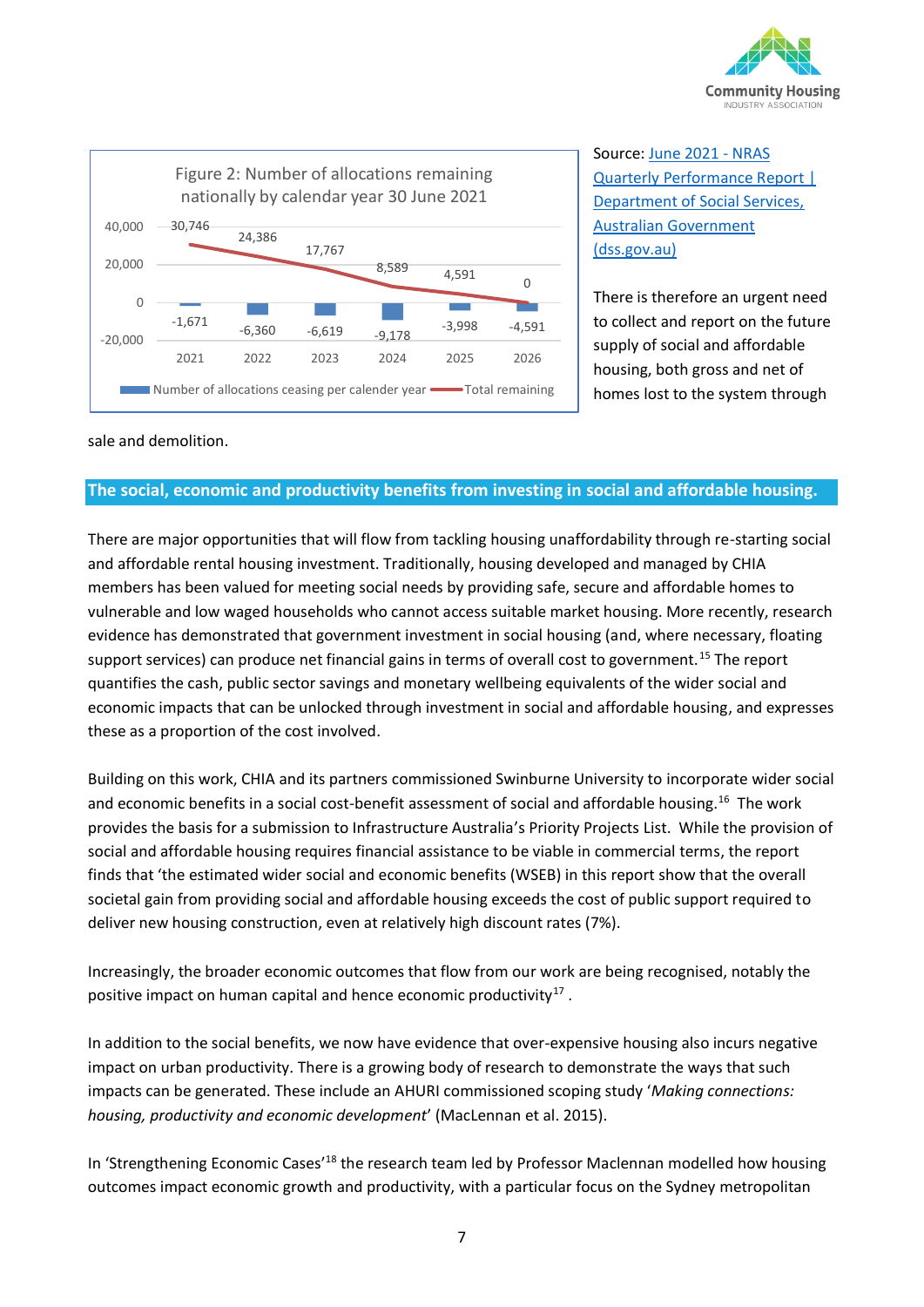



Source: [June 2021 -](https://www.dss.gov.au/june-2021-nras-quarterly-performance-report) NRAS [Quarterly Performance Report |](https://www.dss.gov.au/june-2021-nras-quarterly-performance-report)  [Department of Social Services,](https://www.dss.gov.au/june-2021-nras-quarterly-performance-report)  [Australian Government](https://www.dss.gov.au/june-2021-nras-quarterly-performance-report)  [\(dss.gov.au\)](https://www.dss.gov.au/june-2021-nras-quarterly-performance-report)

There is therefore an urgent need to collect and report on the future supply of social and affordable housing, both gross and net of homes lost to the system through

sale and demolition.

#### **The social, economic and productivity benefits from investing in social and affordable housing.**

There are major opportunities that will flow from tackling housing unaffordability through re-starting social and affordable rental housing investment. Traditionally, housing developed and managed by CHIA members has been valued for meeting social needs by providing safe, secure and affordable homes to vulnerable and low waged households who cannot access suitable market housing. More recently, research evidence has demonstrated that government investment in social housing (and, where necessary, floating support services) can produce net financial gains in terms of overall cost to government.<sup>15</sup> The report quantifies the cash, public sector savings and monetary wellbeing equivalents of the wider social and economic impacts that can be unlocked through investment in social and affordable housing, and expresses these as a proportion of the cost involved.

Building on this work, CHIA and its partners commissioned Swinburne University to incorporate wider social and economic benefits in a social cost-benefit assessment of social and affordable housing.<sup>16</sup> The work provides the basis for a submission to Infrastructure Australia's Priority Projects List. While the provision of social and affordable housing requires financial assistance to be viable in commercial terms, the report finds that 'the estimated wider social and economic benefits (WSEB) in this report show that the overall societal gain from providing social and affordable housing exceeds the cost of public support required to deliver new housing construction, even at relatively high discount rates (7%).

Increasingly, the broader economic outcomes that flow from our work are being recognised, notably the positive impact on human capital and hence economic productivity $^{17}$ .

In addition to the social benefits, we now have evidence that over-expensive housing also incurs negative impact on urban productivity. There is a growing body of research to demonstrate the ways that such impacts can be generated. These include an AHURI commissioned scoping study '*Making connections: housing, productivity and economic development*' (MacLennan et al. 2015).

In 'Strengthening Economic Cases'<sup>18</sup> the research team led by Professor Maclennan modelled how housing outcomes impact economic growth and productivity, with a particular focus on the Sydney metropolitan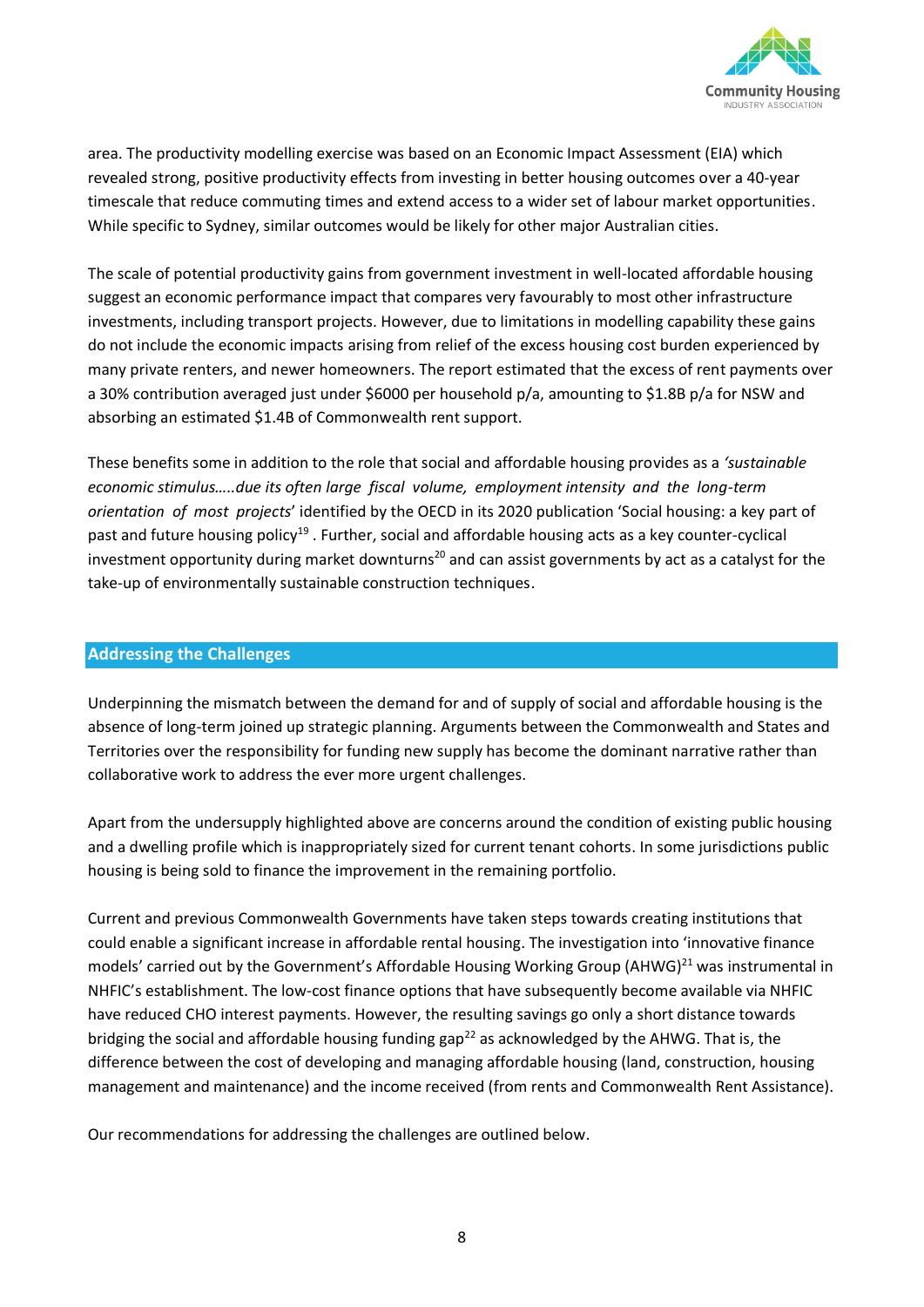

area. The productivity modelling exercise was based on an Economic Impact Assessment (EIA) which revealed strong, positive productivity effects from investing in better housing outcomes over a 40-year timescale that reduce commuting times and extend access to a wider set of labour market opportunities. While specific to Sydney, similar outcomes would be likely for other major Australian cities.

The scale of potential productivity gains from government investment in well-located affordable housing suggest an economic performance impact that compares very favourably to most other infrastructure investments, including transport projects. However, due to limitations in modelling capability these gains do not include the economic impacts arising from relief of the excess housing cost burden experienced by many private renters, and newer homeowners. The report estimated that the excess of rent payments over a 30% contribution averaged just under \$6000 per household p/a, amounting to \$1.8B p/a for NSW and absorbing an estimated \$1.4B of Commonwealth rent support.

These benefits some in addition to the role that social and affordable housing provides as a *'sustainable economic stimulus…..due its often large fiscal volume, employment intensity and the long-term orientation of most projects*' identified by the OECD in its 2020 publication 'Social housing: a key part of past and future housing policy<sup>19</sup>. Further, social and affordable housing acts as a key counter-cyclical investment opportunity during market downturns<sup>20</sup> and can assist governments by act as a catalyst for the take-up of environmentally sustainable construction techniques.

#### **Addressing the Challenges**

Underpinning the mismatch between the demand for and of supply of social and affordable housing is the absence of long-term joined up strategic planning. Arguments between the Commonwealth and States and Territories over the responsibility for funding new supply has become the dominant narrative rather than collaborative work to address the ever more urgent challenges.

Apart from the undersupply highlighted above are concerns around the condition of existing public housing and a dwelling profile which is inappropriately sized for current tenant cohorts. In some jurisdictions public housing is being sold to finance the improvement in the remaining portfolio.

Current and previous Commonwealth Governments have taken steps towards creating institutions that could enable a significant increase in affordable rental housing. The investigation into 'innovative finance models' carried out by the Government's Affordable Housing Working Group (AHWG) $^{21}$  was instrumental in NHFIC's establishment. The low-cost finance options that have subsequently become available via NHFIC have reduced CHO interest payments. However, the resulting savings go only a short distance towards bridging the social and affordable housing funding gap<sup>22</sup> as acknowledged by the AHWG. That is, the difference between the cost of developing and managing affordable housing (land, construction, housing management and maintenance) and the income received (from rents and Commonwealth Rent Assistance).

Our recommendations for addressing the challenges are outlined below.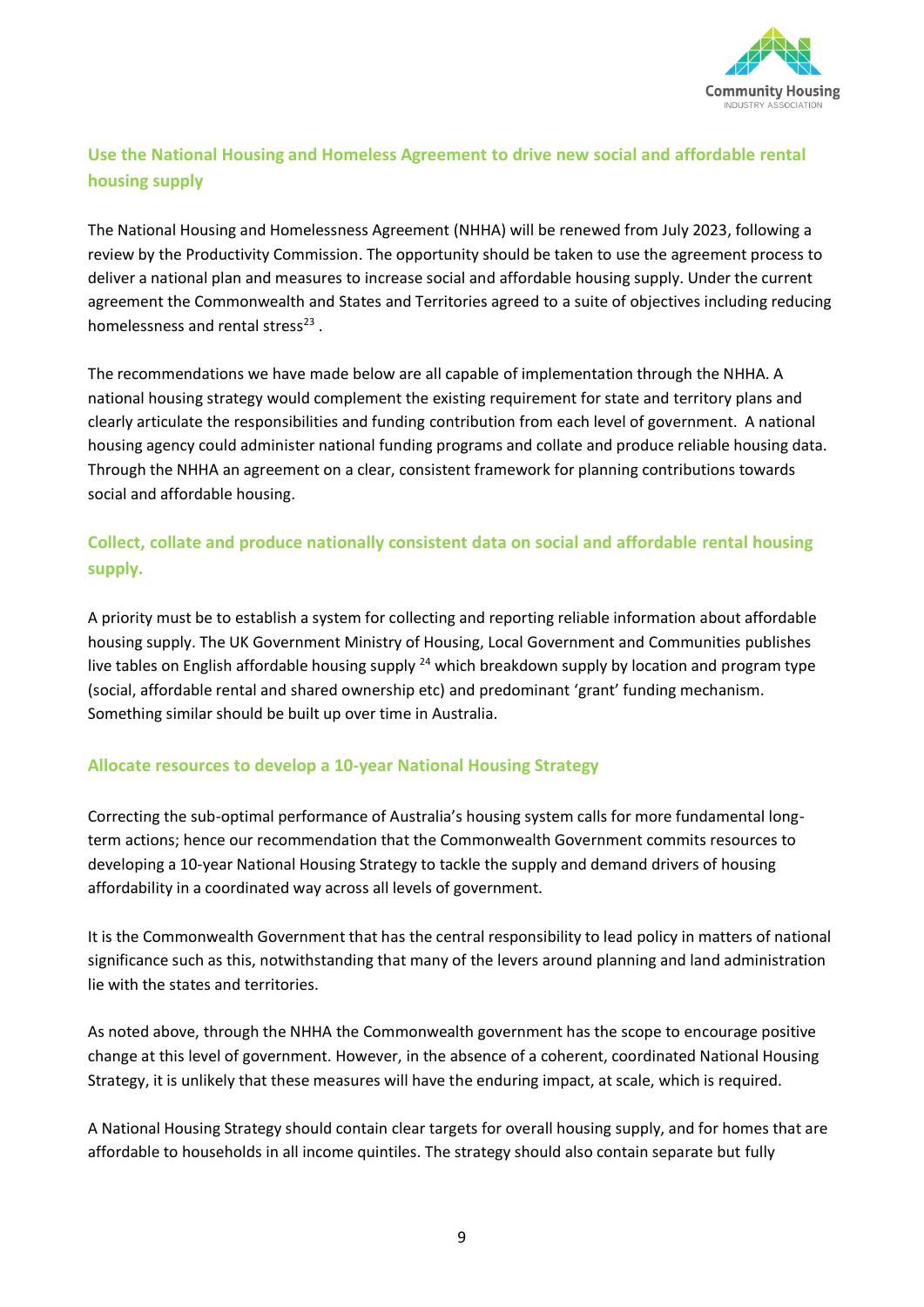

# **Use the National Housing and Homeless Agreement to drive new social and affordable rental housing supply**

The National Housing and Homelessness Agreement (NHHA) will be renewed from July 2023, following a review by the Productivity Commission. The opportunity should be taken to use the agreement process to deliver a national plan and measures to increase social and affordable housing supply. Under the current agreement the Commonwealth and States and Territories agreed to a suite of objectives including reducing homelessness and rental stress<sup>23</sup>.

The recommendations we have made below are all capable of implementation through the NHHA. A national housing strategy would complement the existing requirement for state and territory plans and clearly articulate the responsibilities and funding contribution from each level of government. A national housing agency could administer national funding programs and collate and produce reliable housing data. Through the NHHA an agreement on a clear, consistent framework for planning contributions towards social and affordable housing.

## **Collect, collate and produce nationally consistent data on social and affordable rental housing supply.**

A priority must be to establish a system for collecting and reporting reliable information about affordable housing supply. The UK Government Ministry of Housing, Local Government and Communities publishes live tables on English affordable housing supply <sup>24</sup> which breakdown supply by location and program type (social, affordable rental and shared ownership etc) and predominant 'grant' funding mechanism. Something similar should be built up over time in Australia.

#### **Allocate resources to develop a 10-year National Housing Strategy**

Correcting the sub-optimal performance of Australia's housing system calls for more fundamental longterm actions; hence our recommendation that the Commonwealth Government commits resources to developing a 10-year National Housing Strategy to tackle the supply and demand drivers of housing affordability in a coordinated way across all levels of government.

It is the Commonwealth Government that has the central responsibility to lead policy in matters of national significance such as this, notwithstanding that many of the levers around planning and land administration lie with the states and territories.

As noted above, through the NHHA the Commonwealth government has the scope to encourage positive change at this level of government. However, in the absence of a coherent, coordinated National Housing Strategy, it is unlikely that these measures will have the enduring impact, at scale, which is required.

A National Housing Strategy should contain clear targets for overall housing supply, and for homes that are affordable to households in all income quintiles. The strategy should also contain separate but fully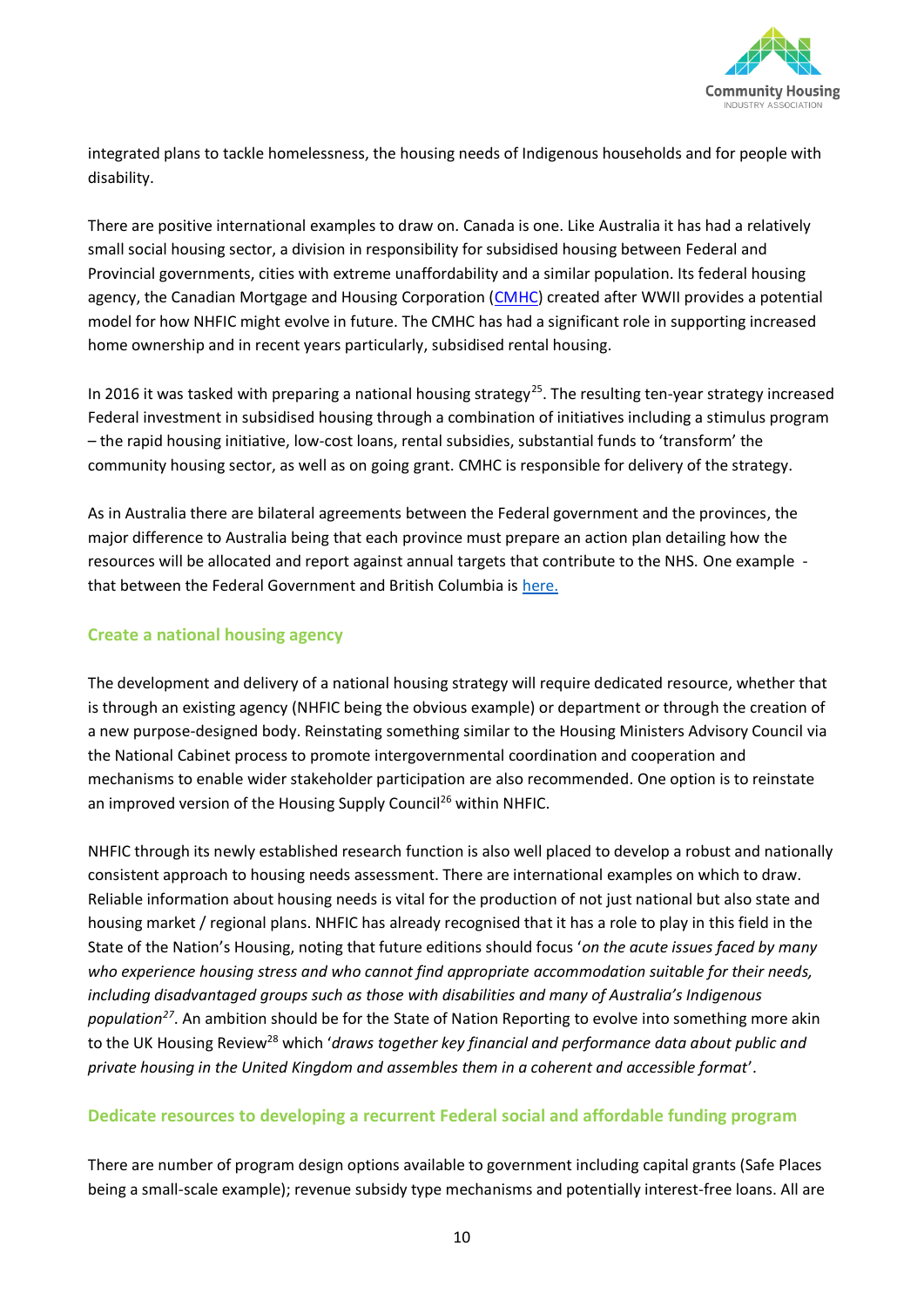

integrated plans to tackle homelessness, the housing needs of Indigenous households and for people with disability.

There are positive international examples to draw on. Canada is one. Like Australia it has had a relatively small social housing sector, a division in responsibility for subsidised housing between Federal and Provincial governments, cities with extreme unaffordability and a similar population. Its federal housing agency, the Canadian Mortgage and Housing Corporation [\(CMHC\)](https://www.cmhc-schl.gc.ca/en) created after WWII provides a potential model for how NHFIC might evolve in future. The CMHC has had a significant role in supporting increased home ownership and in recent years particularly, subsidised rental housing.

In 2016 it was tasked with preparing a national housing strategy<sup>25</sup>. The resulting ten-year strategy increased Federal investment in subsidised housing through a combination of initiatives including a stimulus program – the rapid housing initiative, low-cost loans, rental subsidies, substantial funds to 'transform' the community housing sector, as well as on going grant. CMHC is responsible for delivery of the strategy.

As in Australia there are bilateral agreements between the Federal government and the provinces, the major difference to Australia being that each province must prepare an action plan detailing how the resources will be allocated and report against annual targets that contribute to the NHS. One example that between the Federal Government and British Columbia is [here.](https://www.bchousing.org/about/federal-agreements#:~:text=The%20federal%20government%20and%20BC%20Housing%20combine%20to,governments%20signed%20the%20first%20of%20several%20funding%20agreements.)

#### **Create a national housing agency**

The development and delivery of a national housing strategy will require dedicated resource, whether that is through an existing agency (NHFIC being the obvious example) or department or through the creation of a new purpose-designed body. Reinstating something similar to the Housing Ministers Advisory Council via the National Cabinet process to promote intergovernmental coordination and cooperation and mechanisms to enable wider stakeholder participation are also recommended. One option is to reinstate an improved version of the Housing Supply Council<sup>26</sup> within NHFIC.

NHFIC through its newly established research function is also well placed to develop a robust and nationally consistent approach to housing needs assessment. There are international examples on which to draw. Reliable information about housing needs is vital for the production of not just national but also state and housing market / regional plans. NHFIC has already recognised that it has a role to play in this field in the State of the Nation's Housing, noting that future editions should focus '*on the acute issues faced by many who experience housing stress and who cannot find appropriate accommodation suitable for their needs, including disadvantaged groups such as those with disabilities and many of Australia's Indigenous population<sup>27</sup>* . An ambition should be for the State of Nation Reporting to evolve into something more akin to the UK Housing Review<sup>28</sup> which 'draws together key financial and performance data about public and *private housing in the United Kingdom and assembles them in a coherent and accessible format*'.

#### **Dedicate resources to developing a recurrent Federal social and affordable funding program**

There are number of program design options available to government including capital grants (Safe Places being a small-scale example); revenue subsidy type mechanisms and potentially interest-free loans. All are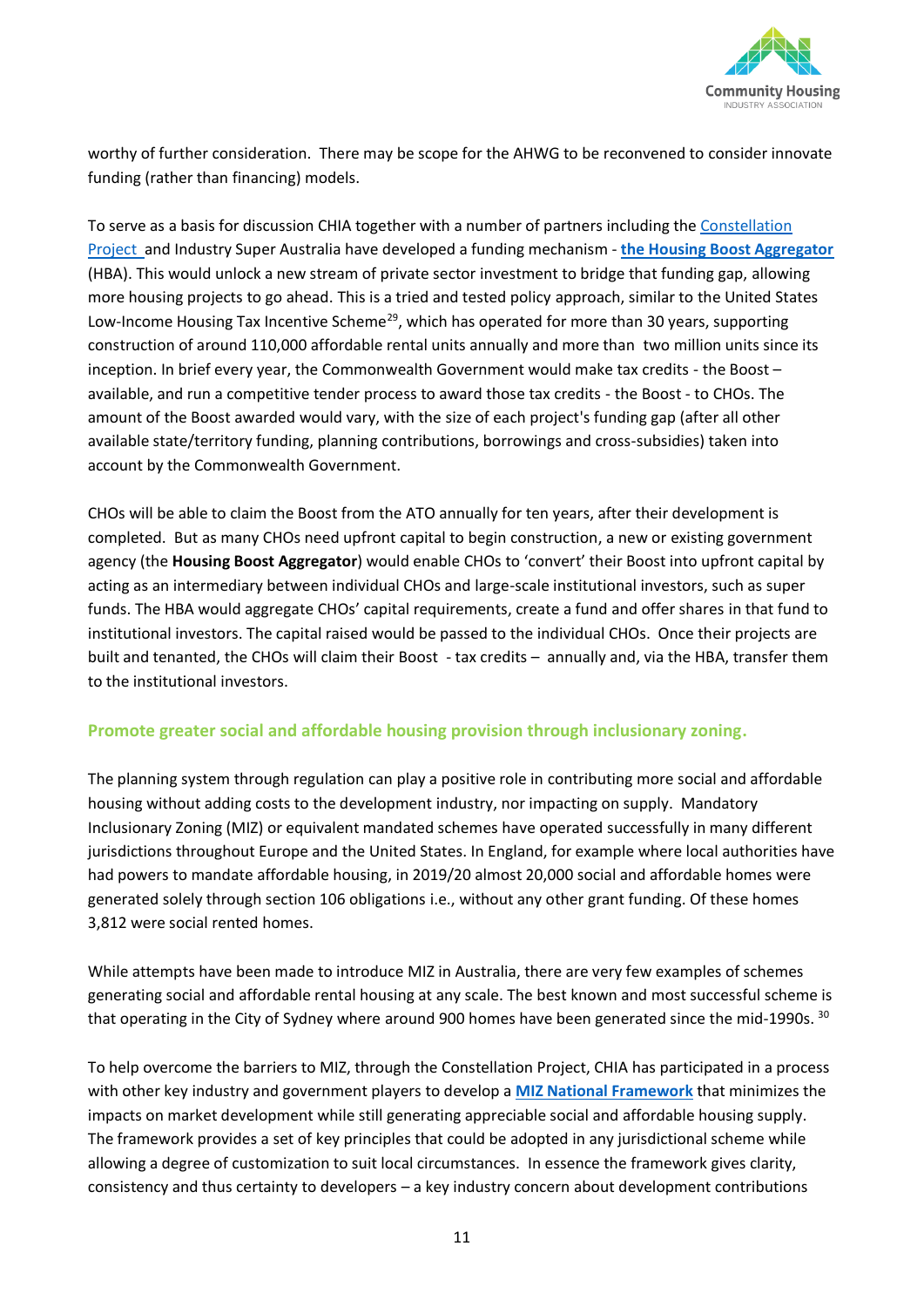

worthy of further consideration. There may be scope for the AHWG to be reconvened to consider innovate funding (rather than financing) models.

To serve as a basis for discussion CHIA together with a number of partners including the [Constellation](https://www.theconstellationproject.com.au/)  [Project](https://www.theconstellationproject.com.au/) and Industry Super Australia have developed a funding mechanism - **the [Housing Boost Aggregator](https://www.communityhousing.com.au/wp-content/uploads/2021/09/Housing-Boost-Aggregator_final.pdf)** (HBA). This would unlock a new stream of private sector investment to bridge that funding gap, allowing more housing projects to go ahead. This is a tried and tested policy approach, similar to the United States Low-Income Housing Tax Incentive Scheme<sup>29</sup>, which has operated for more than 30 years, supporting construction of around 110,000 affordable rental units annually and more than two million units since its inception. In brief every year, the Commonwealth Government would make tax credits - the Boost – available, and run a competitive tender process to award those tax credits - the Boost - to CHOs. The amount of the Boost awarded would vary, with the size of each project's funding gap (after all other available state/territory funding, planning contributions, borrowings and cross-subsidies) taken into account by the Commonwealth Government.

CHOs will be able to claim the Boost from the ATO annually for ten years, after their development is completed. But as many CHOs need upfront capital to begin construction, a new or existing government agency (the **Housing Boost Aggregator**) would enable CHOs to 'convert' their Boost into upfront capital by acting as an intermediary between individual CHOs and large-scale institutional investors, such as super funds. The HBA would aggregate CHOs' capital requirements, create a fund and offer shares in that fund to institutional investors. The capital raised would be passed to the individual CHOs. Once their projects are built and tenanted, the CHOs will claim their Boost - tax credits – annually and, via the HBA, transfer them to the institutional investors.

#### **Promote greater social and affordable housing provision through inclusionary zoning.**

The planning system through regulation can play a positive role in contributing more social and affordable housing without adding costs to the development industry, nor impacting on supply. Mandatory Inclusionary Zoning (MIZ) or equivalent mandated schemes have operated successfully in many different jurisdictions throughout Europe and the United States. In England, for example where local authorities have had powers to mandate affordable housing, in 2019/20 almost 20,000 social and affordable homes were generated solely through section 106 obligations i.e., without any other grant funding. Of these homes 3,812 were social rented homes.

While attempts have been made to introduce MIZ in Australia, there are very few examples of schemes generating social and affordable rental housing at any scale. The best known and most successful scheme is that operating in the City of Sydney where around 900 homes have been generated since the mid-1990s. <sup>30</sup>

To help overcome the barriers to MIZ, through the Constellation Project, CHIA has participated in a process with other key industry and government players to develop a **[MIZ National Framework](https://www.communityhousing.com.au/wp-content/uploads/2021/09/Mandatory-Inclusionary-Zoning_Final.pdf)** that minimizes the impacts on market development while still generating appreciable social and affordable housing supply. The framework provides a set of key principles that could be adopted in any jurisdictional scheme while allowing a degree of customization to suit local circumstances. In essence the framework gives clarity, consistency and thus certainty to developers – a key industry concern about development contributions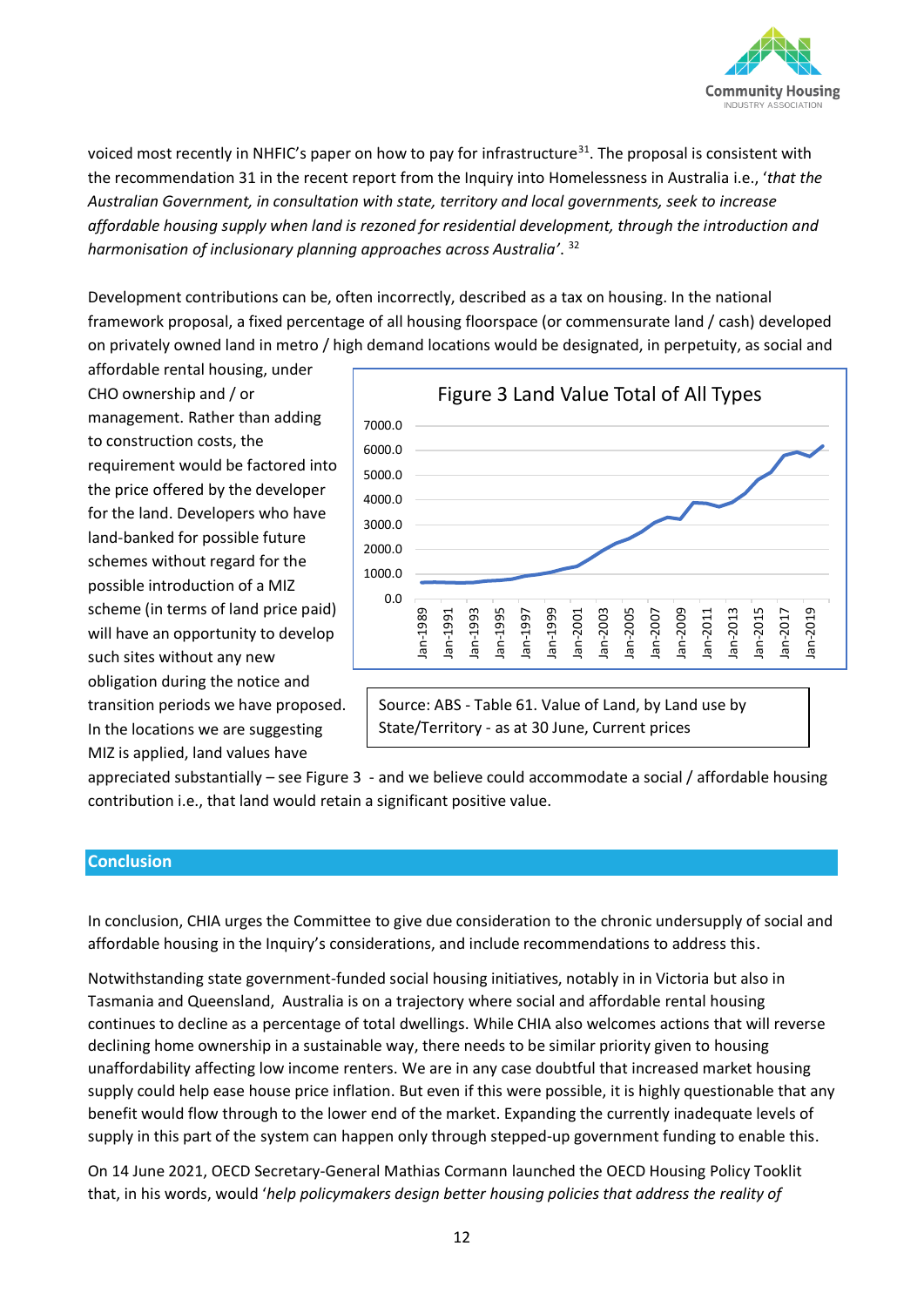

voiced most recently in NHFIC's paper on how to pay for infrastructure<sup>31</sup>. The proposal is consistent with the recommendation 31 in the recent report from the Inquiry into Homelessness in Australia i.e., '*that the Australian Government, in consultation with state, territory and local governments, seek to increase affordable housing supply when land is rezoned for residential development, through the introduction and harmonisation of inclusionary planning approaches across Australia'*. 32

Development contributions can be, often incorrectly, described as a tax on housing. In the national framework proposal, a fixed percentage of all housing floorspace (or commensurate land / cash) developed on privately owned land in metro / high demand locations would be designated, in perpetuity, as social and

affordable rental housing, under CHO ownership and / or management. Rather than adding to construction costs, the requirement would be factored into the price offered by the developer for the land. Developers who have land-banked for possible future schemes without regard for the possible introduction of a MIZ scheme (in terms of land price paid) will have an opportunity to develop such sites without any new obligation during the notice and transition periods we have proposed. In the locations we are suggesting MIZ is applied, land values have



Source: ABS - Table 61. Value of Land, by Land use by State/Territory - as at 30 June, Current prices

appreciated substantially – see Figure 3 - and we believe could accommodate a social / affordable housing contribution i.e., that land would retain a significant positive value.

#### **Conclusion**

In conclusion, CHIA urges the Committee to give due consideration to the chronic undersupply of social and affordable housing in the Inquiry's considerations, and include recommendations to address this.

Notwithstanding state government-funded social housing initiatives, notably in in Victoria but also in Tasmania and Queensland, Australia is on a trajectory where social and affordable rental housing continues to decline as a percentage of total dwellings. While CHIA also welcomes actions that will reverse declining home ownership in a sustainable way, there needs to be similar priority given to housing unaffordability affecting low income renters. We are in any case doubtful that increased market housing supply could help ease house price inflation. But even if this were possible, it is highly questionable that any benefit would flow through to the lower end of the market. Expanding the currently inadequate levels of supply in this part of the system can happen only through stepped-up government funding to enable this.

On 14 June 2021, OECD Secretary-General Mathias Cormann launched the OECD Housing Policy Tooklit that, in his words, would '*help policymakers design better housing policies that address the reality of*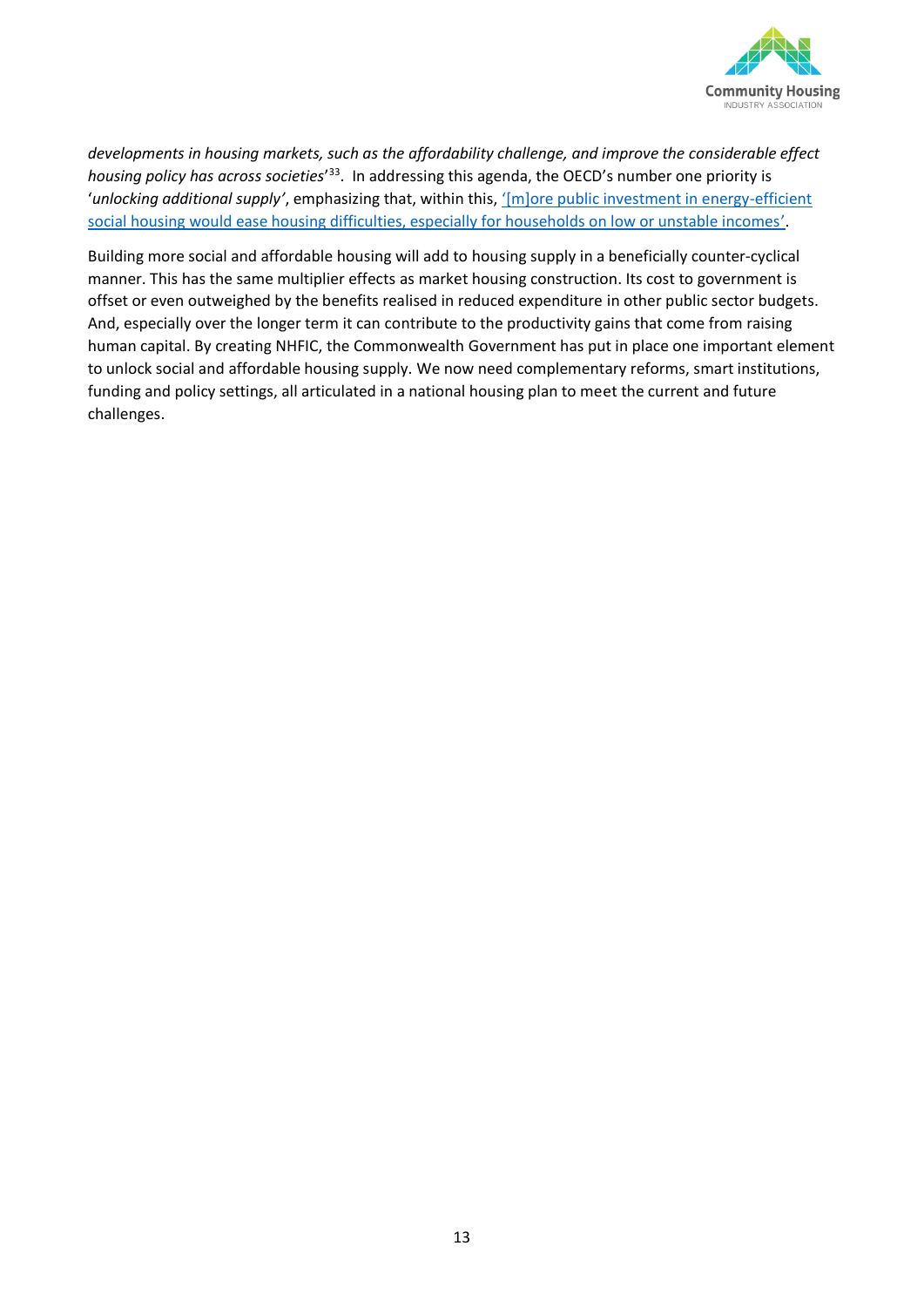

*developments in housing markets, such as the affordability challenge, and improve the considerable effect*  housing policy has across societies<sup>'33</sup>. In addressing this agenda, the OECD's number one priority is '*unlocking additional supply'*, emphasizing that, within this, '[m][ore public investment in energy-efficient](https://www.oecd.org/social/addressing-complex-housing-policy-challenges-should-be-a-central-priority-for-governments.htm)  [social housing would ease housing difficulties, especially for households on low or unstable incomes](https://www.oecd.org/social/addressing-complex-housing-policy-challenges-should-be-a-central-priority-for-governments.htm)'.

Building more social and affordable housing will add to housing supply in a beneficially counter-cyclical manner. This has the same multiplier effects as market housing construction. Its cost to government is offset or even outweighed by the benefits realised in reduced expenditure in other public sector budgets. And, especially over the longer term it can contribute to the productivity gains that come from raising human capital. By creating NHFIC, the Commonwealth Government has put in place one important element to unlock social and affordable housing supply. We now need complementary reforms, smart institutions, funding and policy settings, all articulated in a national housing plan to meet the current and future challenges.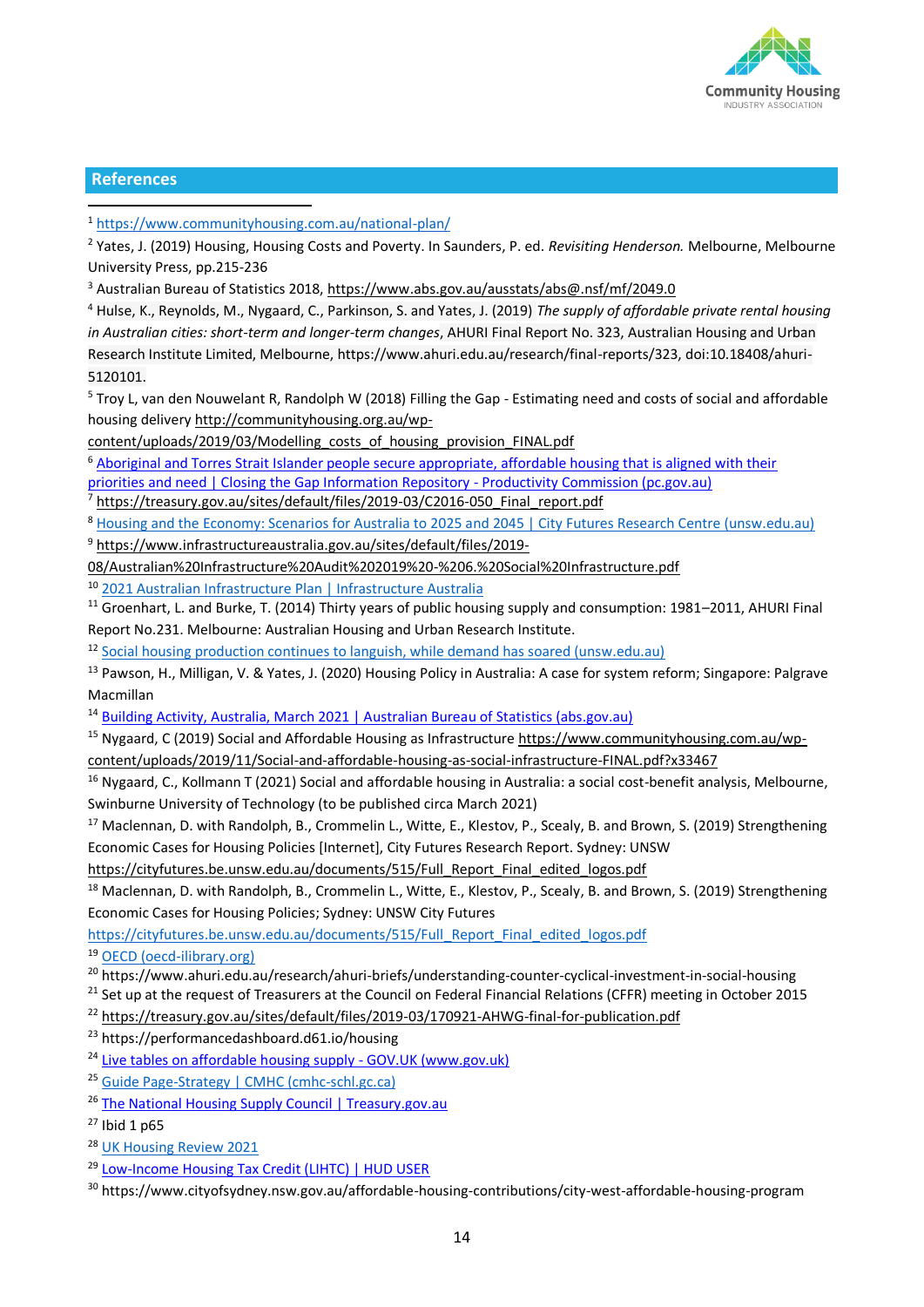

#### **References**

<sup>1</sup> <https://www.communityhousing.com.au/national-plan/>

<sup>2</sup> Yates, J. (2019) Housing, Housing Costs and Poverty. In Saunders, P. ed. *Revisiting Henderson.* Melbourne, Melbourne University Press, pp.215-236

<sup>3</sup> Australian Bureau of Statistics 2018,<https://www.abs.gov.au/ausstats/abs@.nsf/mf/2049.0>

<sup>4</sup> Hulse, K., Reynolds, M., Nygaard, C., Parkinson, S. and Yates, J. (2019) *The supply of affordable private rental housing in Australian cities: short-term and longer-term changes*, AHURI Final Report No. 323, Australian Housing and Urban Research Institute Limited, Melbourne, https://www.ahuri.edu.au/research/final-reports/323, doi:10.18408/ahuri-5120101.

<sup>5</sup> Troy L, van den Nouwelant R, Randolph W (2018) Filling the Gap - Estimating need and costs of social and affordable housing delivery http://communityhousing.org.au/wp-

content/uploads/2019/03/Modelling\_costs\_of\_housing\_provision\_FINAL.pdf

<sup>6</sup> [Aboriginal and Torres Strait Islander people secure appropriate, affordable housing that is aligned with their](https://www.pc.gov.au/closing-the-gap-data/annual-data-report/2021/snapshot/socioeconomic/outcome-area9)  [priorities and need | Closing the Gap Information Repository -](https://www.pc.gov.au/closing-the-gap-data/annual-data-report/2021/snapshot/socioeconomic/outcome-area9) Productivity Commission (pc.gov.au)

<sup>7</sup> https://treasury.gov.au/sites/default/files/2019-03/C2016-050\_Final\_report.pdf

<sup>8</sup> Housing and the Economy: Scenarios for Australia to [2025 and 2045 | City Futures Research Centre \(unsw.edu.au\)](https://cityfutures.be.unsw.edu.au/research/projects/housing-and-economy-scenarios-australia-2025-and-2045/)

<sup>9</sup> [https://www.infrastructureaustralia.gov.au/sites/default/files/2019-](https://www.infrastructureaustralia.gov.au/sites/default/files/2019-08/Australian%20Infrastructure%20Audit%202019%20-%206.%20Social%20Infrastructure.pdf)

[08/Australian%20Infrastructure%20Audit%202019%20-%206.%20Social%20Infrastructure.pdf](https://www.infrastructureaustralia.gov.au/sites/default/files/2019-08/Australian%20Infrastructure%20Audit%202019%20-%206.%20Social%20Infrastructure.pdf)

<sup>10</sup> [2021 Australian Infrastructure Plan | Infrastructure Australia](https://www.infrastructureaustralia.gov.au/publications/2021-australian-infrastructure-plan)

 $11$  Groenhart, L. and Burke, T. (2014) Thirty years of public housing supply and consumption: 1981–2011, AHURI Final Report No.231. Melbourne: Australian Housing and Urban Research Institute.

<sup>12</sup> [Social housing production continues to languish, while demand has soared \(unsw.edu.au\)](https://blogs.unsw.edu.au/cityfutures/blog/2021/01/social-housing-production-continues-to-languish-while-demand-is-soaring/)

<sup>13</sup> Pawson, H., Milligan, V. & Yates, J. (2020) Housing Policy in Australia: A case for system reform; Singapore: Palgrave Macmillan

<sup>14</sup> [Building Activity, Australia, March 2021 | Australian Bureau of Statistics \(abs.gov.au\)](https://www.abs.gov.au/statistics/industry/building-and-construction/building-activity-australia/mar-2021)

<sup>15</sup> Nygaard, C (2019) Social and Affordable Housing as Infrastructure https://www.communityhousing.com.au/wp-

content/uploads/2019/11/Social-and-affordable-housing-as-social-infrastructure-FINAL.pdf?x33467

<sup>16</sup> Nygaard, C., Kollmann T (2021) Social and affordable housing in Australia: a social cost-benefit analysis, Melbourne, Swinburne University of Technology (to be published circa March 2021)

<sup>17</sup> Maclennan, D. with Randolph, B., Crommelin L., Witte, E., Klestov, P., Scealy, B. and Brown, S. (2019) Strengthening Economic Cases for Housing Policies [Internet], City Futures Research Report. Sydney: UNSW

[https://cityfutures.be.unsw.edu.au/documents/515/Full\\_Report\\_Final\\_edited\\_logos.pdf](https://cityfutures.be.unsw.edu.au/documents/515/Full_Report_Final_edited_logos.pdf)

<sup>18</sup> Maclennan, D. with Randolph, B., Crommelin L., Witte, E., Klestov, P., Scealy, B. and Brown, S. (2019) Strengthening Economic Cases for Housing Policies; Sydney: UNSW City Futures

[https://cityfutures.be.unsw.edu.au/documents/515/Full\\_Report\\_Final\\_edited\\_logos.pdf](https://cityfutures.be.unsw.edu.au/documents/515/Full_Report_Final_edited_logos.pdf)

<sup>19</sup> [OECD \(oecd-ilibrary.org\)](https://read.oecd-ilibrary.org/view/?ref=137_137578-34brg1nxua&title=Social-Housing-A-Key-Part-of-Past-and-Future-Housing-Policy)

<sup>20</sup> https://www.ahuri.edu.au/research/ahuri-briefs/understanding-counter-cyclical-investment-in-social-housing

 $21$  Set up at the request of Treasurers at the Council on Federal Financial Relations (CFFR) meeting in October 2015

<sup>22</sup> <https://treasury.gov.au/sites/default/files/2019-03/170921-AHWG-final-for-publication.pdf>

<sup>23</sup> https://performancedashboard.d61.io/housing

<sup>24</sup> [Live tables on affordable housing supply -](https://www.gov.uk/government/statistical-data-sets/live-tables-on-affordable-housing-supply) GOV.UK (www.gov.uk)

<sup>25</sup> [Guide Page-Strategy | CMHC \(cmhc-schl.gc.ca\)](https://www.cmhc-schl.gc.ca/en/nhs/guidepage-strategy)

<sup>26</sup> [The National Housing Supply Council | Treasury.gov.au](https://treasury.gov.au/programs-initiatives-consumers-community/the-national-housing-supply-council)

 $27$  Ibid 1 p65

<sup>28</sup> [UK Housing Review 2021](https://www.ukhousingreview.org.uk/ukhr21/index.html)

<sup>29</sup> [Low-Income Housing Tax Credit \(LIHTC\) | HUD USER](https://www.huduser.gov/portal/datasets/lihtc.html)

<sup>30</sup> https://www.cityofsydney.nsw.gov.au/affordable-housing-contributions/city-west-affordable-housing-program